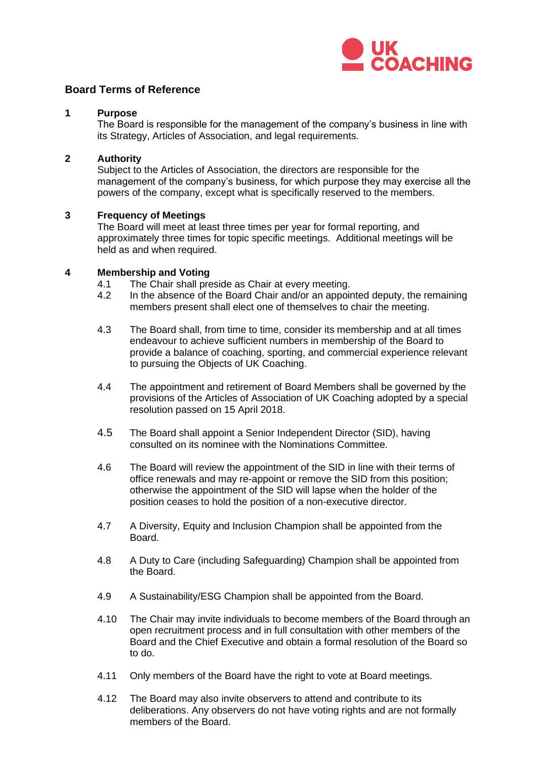

# **Board Terms of Reference**

### **1 Purpose**

The Board is responsible for the management of the company's business in line with its Strategy, Articles of Association, and legal requirements.

#### **2 Authority**

Subject to the Articles of Association, the directors are responsible for the management of the company's business, for which purpose they may exercise all the powers of the company, except what is specifically reserved to the members.

#### **3 Frequency of Meetings**

The Board will meet at least three times per year for formal reporting, and approximately three times for topic specific meetings. Additional meetings will be held as and when required.

#### **4 Membership and Voting**

- 4.1 The Chair shall preside as Chair at every meeting.<br>4.2 In the absence of the Board Chair and/or an appoin
- In the absence of the Board Chair and/or an appointed deputy, the remaining members present shall elect one of themselves to chair the meeting.
- 4.3 The Board shall, from time to time, consider its membership and at all times endeavour to achieve sufficient numbers in membership of the Board to provide a balance of coaching, sporting, and commercial experience relevant to pursuing the Objects of UK Coaching.
- 4.4 The appointment and retirement of Board Members shall be governed by the provisions of the Articles of Association of UK Coaching adopted by a special resolution passed on 15 April 2018.
- 4.5 The Board shall appoint a Senior Independent Director (SID), having consulted on its nominee with the Nominations Committee.
- 4.6 The Board will review the appointment of the SID in line with their terms of office renewals and may re-appoint or remove the SID from this position; otherwise the appointment of the SID will lapse when the holder of the position ceases to hold the position of a non-executive director.
- 4.7 A Diversity, Equity and Inclusion Champion shall be appointed from the Board.
- 4.8 A Duty to Care (including Safeguarding) Champion shall be appointed from the Board.
- 4.9 A Sustainability/ESG Champion shall be appointed from the Board.
- 4.10 The Chair may invite individuals to become members of the Board through an open recruitment process and in full consultation with other members of the Board and the Chief Executive and obtain a formal resolution of the Board so to do.
- 4.11 Only members of the Board have the right to vote at Board meetings.
- 4.12 The Board may also invite observers to attend and contribute to its deliberations. Any observers do not have voting rights and are not formally members of the Board.